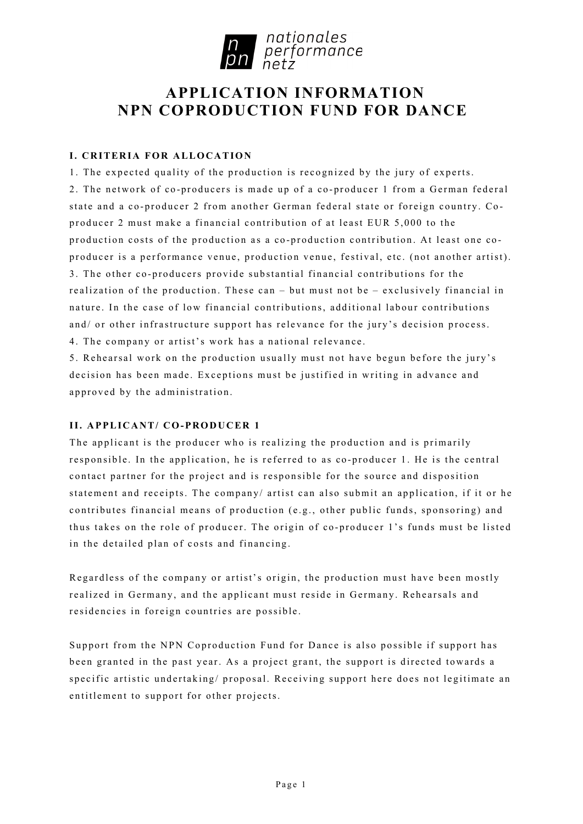

# **APPLICATION INFORMATION NPN COPRODUCTION FUND FOR DANCE**

## **I. CRITERIA FOR ALLOCATION**

1. The expected quality of the production is recognized by the jury of experts. 2. The network of co - producers is made up of a co - producer 1 from a German federal state and a co-producer 2 from another German federal state or foreign country. Coproducer 2 must make a financial contribution of at least EUR 5,000 to the production costs of the production as a co-production contribution. At least one coproducer is a performance venue, production venue, festival, etc. (not another artist). 3. The other co-producers provide substantial financial contributions for the realization of the production. These can – but must not be – exclusively financial in nature. In the case of low financial contributions, additional labour contributions and/ or other infrastructure support has relevance for the jury's decision process. 4. The company or artist's work has a national relevance.

5. Rehearsal work on the production usually must not have begun before the jury's decision has been made. Exceptions must be justified in writing in advance a nd approved by the administration.

## **II. APPLICANT/ CO-PRODUCER 1**

The applicant is the producer who is realizing the production and is primarily responsible. In the application, he is referred to as co-producer 1. He is the central contact partner for the project and is responsible for the source and disposition statement and receipts. The company/ artist can also submit an application, if it or he contributes financial means of production (e.g., other public funds, sponsoring) and thus takes on the role of producer. The origin of co -producer 1's funds must be listed in the detailed plan of costs and financing.

Regardless of the company or artist's origin, the production must have been mostly realized in Germany, and the applicant must reside in Germany. Rehearsals and residencies in foreign countries are possible.

Support from the NPN Coproduction Fund for Dance is also possible if support has been granted in the past year. As a project grant, the support is directed towards a specific artistic undertaking/ proposal. Receiving support here does not legitimate an entitlement to support for other projects.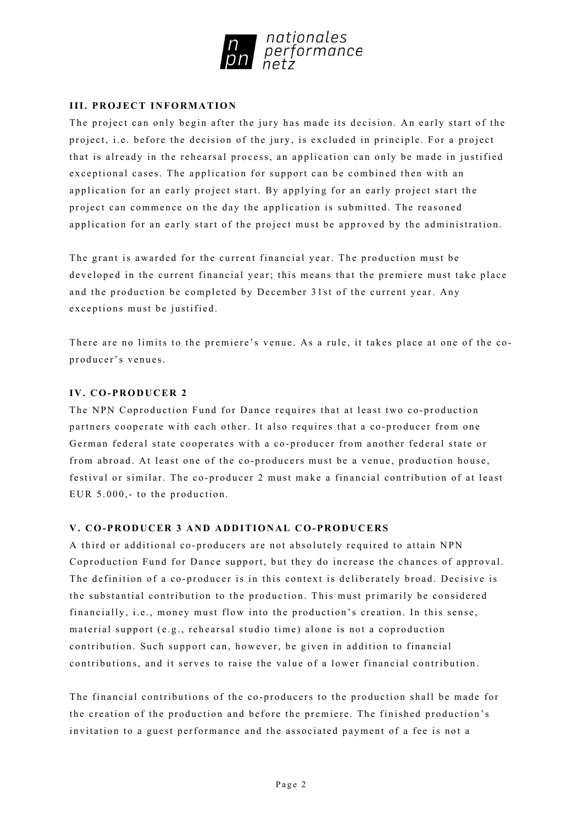

## **III. PROJECT INFORMATION**

The project can only begin after the jury has made its decision. An early start of the project, i.e. before the decision of the jury, is excluded in principle. For a project that is already in the rehearsal process, an application can only be made in justified exceptional cases. The application for support can be combined then with an application for an early project start. By applying for an early project start the project can commence on the day the application is submitted. The reasoned application for an early start of the project must be approved by the administration.

The grant is awarded for the current financial year. The production must be developed in the current financial year; this means that the premiere must take place and the production be completed by December 31st of the current year. Any exceptions must be justified.

There are no limits to the premiere's venue. As a rule, it takes place at one of the coproducer's venues.

## **IV. CO-PRODUCER 2**

The NPN Coproduction Fund for Dance requires that at least two co-production partners cooperate with each other. It also requires that a co-producer from one German federal state cooperates with a co-producer from another federal state or from abroad. At least one of the co -producers must be a venue, production house, festival or similar. The co - producer 2 must make a financial contribution of at least EUR 5.000,- to the production.

#### **V. CO-PRODUCER 3 AND ADDITIONAL CO-PRODUCERS**

A third or additional co - producers are not absolutely required to attain NPN Coproduction Fund for Dance support, but they do increase the chances of approval. The definition of a co-producer is in this context is deliberately broad. Decisive is the substantial contribution to the production. This must primarily be considered financially, i.e., money must flow into the production's creation. In this sense, material support (e.g., rehearsal studio time) alone is not a coproduction contribution. Such support can, however, be given in addition to financial contributions, and it serves to raise the value of a lower financial contribution.

The financial contributions of the co -producers to the production shall be made for the creation of the production and before the premiere. The finished production's invitation to a guest performance and the associated payment of a fee is not a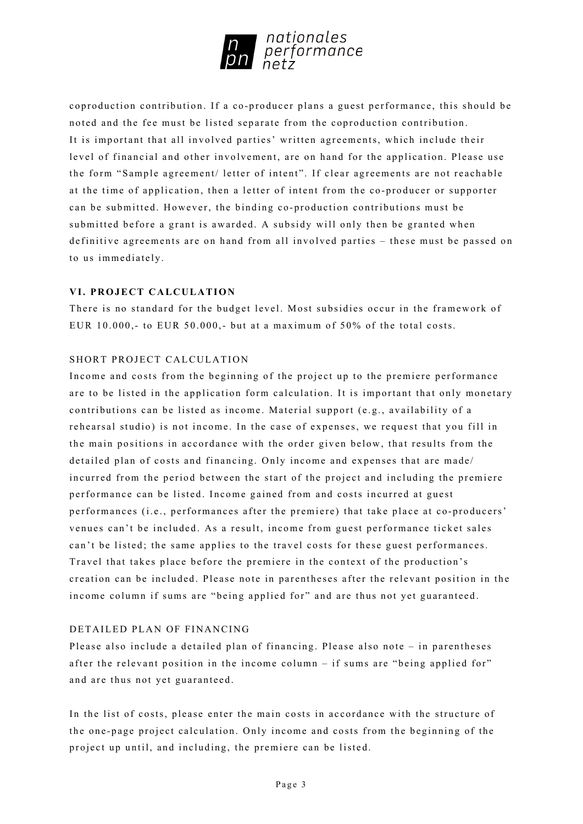

coproduction contribution. If a co -producer plans a guest performance, this should be noted and the fee must be listed separate from the coproduction contribution. It is important that all involved parties' written agreements, which include their level of financial and other involvement, are on hand for the application. Please use the form "Sample agreement/ letter of intent". If clear agreements are not reachable at the time of application, then a letter of intent from the co -producer or supporter can be submitted. However, the binding co- production contributions must be submitted before a grant is awarded. A subsidy will only then be granted when definitive agreements are on hand from all involved parties – these must be passed on to us immediately.

#### **VI. PROJECT CALCULATION**

There is no standard for the budget level. Most subsidies occur in the framework of EUR 10.000,- to EUR 50.000,- but at a maximum of 50% of the total costs.

### SHORT PROJECT CALCULATION

Income and costs from the beginning of the project up to the premiere performance are to be listed in the application form calculation. It is important that only monetary contributions can be listed as income. Material support (e.g., availability of a rehearsal studio) is not income. In the case of expenses, we request that you fill in the main positions in accordance with the order given below, that results from the detailed plan of costs and financing. Only income and expenses that are made/ incurred from the period between the start of the project and including the premiere performance can be listed. Income gained from and costs incurred at guest performances (i.e., performances after the premiere) that take place at co-producers' venues can't be included. As a result, income from guest performance ticket sales can't be listed; the same applies to the travel costs for these guest performances. Travel that takes place before the premiere in the context of the production's creation can be included. Please note in parentheses after the relevant position in the income column if sums are "being applied for" and are thus not yet guaranteed.

#### DETAILED PLAN OF FINANCING

Please also include a detailed plan of financing. Please also note – in parentheses after the relevant position in the income column – if sums are "being applied for" and are thus not yet guaranteed.

In the list of costs, please enter the main costs in accordance with the structure of the one - page project calculation. Only income and costs from the beginning of the project up until, and including, the premiere can be listed.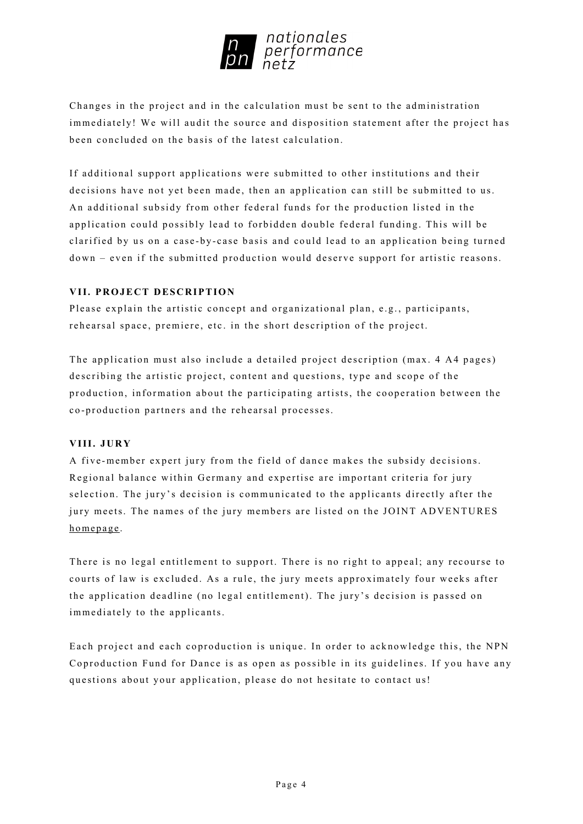

Changes in the project and in the calculation must be sent to the administration immediately! We will audit the source and disposition statement after the project has been concluded on the basis of the latest calculation.

If additional support applications were submitted to other institutions and their decisions have not yet been made, then an application can still be submitted to us. An additional subsidy from other federal funds for the production listed in the application could possibly lead to forbidden double federal funding. This will be clarified by us on a case-by-case basis and could lead to an application being turned down – even if the submitted production would deserve support for artistic reasons.

## **VII. PROJECT DESCRIPTION**

Please explain the artistic concept and organizational plan, e.g., participants, rehearsal space, premiere, etc. in the short description of the project.

The application must also include a detailed project description (max. 4 A4 pages) describing the artistic project, content and questions, type and scope of the production, information about the participating artists, the cooperation between the c o - production partners and the rehearsal processes.

## **VIII. JURY**

A five -member expert jury from the field of dance makes the subsidy decisions. Regional balance within Germany and expertise are important criteria for jury selection. The jury's decision is communicated to the applicants directly after the jury meets. The names of the jury members are listed on the JOINT ADVENTURES [homepage](https://www.jointadventures.net/en/nationales-performance-netz/dance-coproductions).

There is no legal entitlement to support. There is no right to appeal; any recourse to courts of law is excluded. As a rule, the jury meets approximately four weeks after the application deadline (no legal entitlement). The jury's decision is passed on immediately to the applicants.

Each project and each coproduction is unique. In order to acknowledge this, the NPN Coproduction Fund for Dance is as open as possible in its guidelines. If you have any questions about your application, please do not hesitate to contact us!